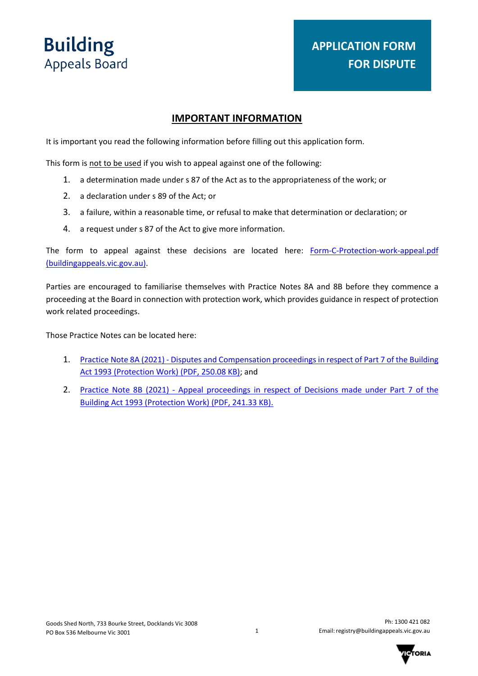# **APPLICATION FORM FOR DISPUTE**

## **IMPORTANT INFORMATION**

It is important you read the following information before filling out this application form.

This form is not to be used if you wish to appeal against one of the following:

- 1. a determination made under s 87 of the Act as to the appropriateness of the work; or
- 2. a declaration under s 89 of the Act; or
- 3. a failure, within a reasonable time, or refusal to make that determination or declaration; or
- 4. a request under s 87 of the Act to give more information.

The form to appeal against these decisions are located here: [Form-C-Protection-work-appeal.pdf](https://www.buildingappeals.vic.gov.au/__data/assets/pdf_file/0005/47282/Form-C-Protection-work-appeal.pdf)  [\(buildingappeals.vic.gov.au\).](https://www.buildingappeals.vic.gov.au/__data/assets/pdf_file/0005/47282/Form-C-Protection-work-appeal.pdf)

Parties are encouraged to familiarise themselves with Practice Notes 8A and 8B before they commence a proceeding at the Board in connection with protection work, which provides guidance in respect of protection work related proceedings.

Those Practice Notes can be located here:

- 1. [Practice Note 8A \(2021\) Disputes and Compensation proceedings in respect of Part 7 of the Building](https://www.buildingappeals.vic.gov.au/__data/assets/pdf_file/0019/144424/Practice-Note-8A-2021-Disputes-and-Compensation.pdf) [Act 1993 \(Protection Work\)](https://www.buildingappeals.vic.gov.au/__data/assets/pdf_file/0019/144424/Practice-Note-8A-2021-Disputes-and-Compensation.pdf) (PDF, 250.08 KB); and
- 2. [Practice Note 8B \(2021\) Appeal proceedings in respect of Decisions made under Part 7 of the](https://www.buildingappeals.vic.gov.au/__data/assets/pdf_file/0020/144425/Practice-Note-8B-2021-Appeal-proceedings.pdf) [Building Act 1993 \(Protection Work\)](https://www.buildingappeals.vic.gov.au/__data/assets/pdf_file/0020/144425/Practice-Note-8B-2021-Appeal-proceedings.pdf) (PDF, 241.33 KB).

1

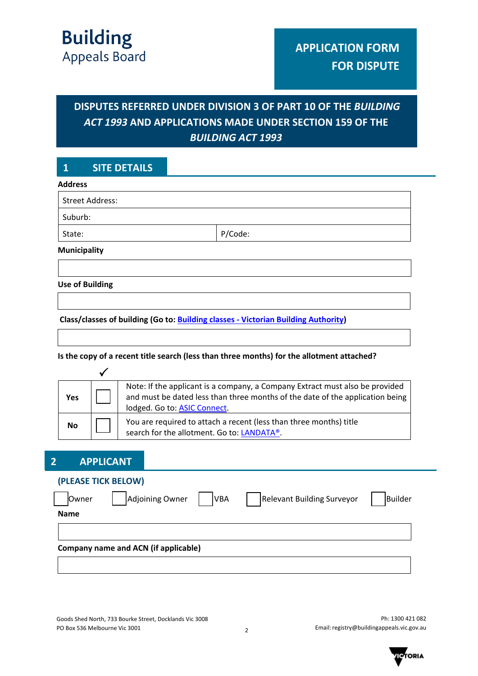# **DISPUTES REFERRED UNDER DIVISION 3 OF PART 10 OF THE** *BUILDING ACT 1993* **AND APPLICATIONS MADE UNDER SECTION 159 OF THE**  *BUILDING ACT 1993*

# **1 SITE DETAILS**

#### **Address**

| <b>Street Address:</b> |         |
|------------------------|---------|
| Suburb:                |         |
| State:                 | P/Code: |
| <b>Municipality</b>    |         |

**Use of Building**

**Class/classes of building (Go to: [Building classes - Victorian Building Authority\)](https://www.vba.vic.gov.au/building/regulatory-framework/building-classes)** 

#### **Is the copy of a recent title search (less than three months) for the allotment attached?**

| Yes       | Note: If the applicant is a company, a Company Extract must also be provided<br>and must be dated less than three months of the date of the application being<br>lodged. Go to: ASIC Connect. |
|-----------|-----------------------------------------------------------------------------------------------------------------------------------------------------------------------------------------------|
| <b>No</b> | You are required to attach a recent (less than three months) title<br>search for the allotment. Go to: LANDATA®.                                                                              |

## **2 APPLICANT**

| (PLEASE TICK BELOW)                  |                               |                                   |         |
|--------------------------------------|-------------------------------|-----------------------------------|---------|
| <b>Owner</b>                         | Adjoining Owner<br><b>VBA</b> | <b>Relevant Building Surveyor</b> | Builder |
| <b>Name</b>                          |                               |                                   |         |
|                                      |                               |                                   |         |
| Company name and ACN (if applicable) |                               |                                   |         |
|                                      |                               |                                   |         |

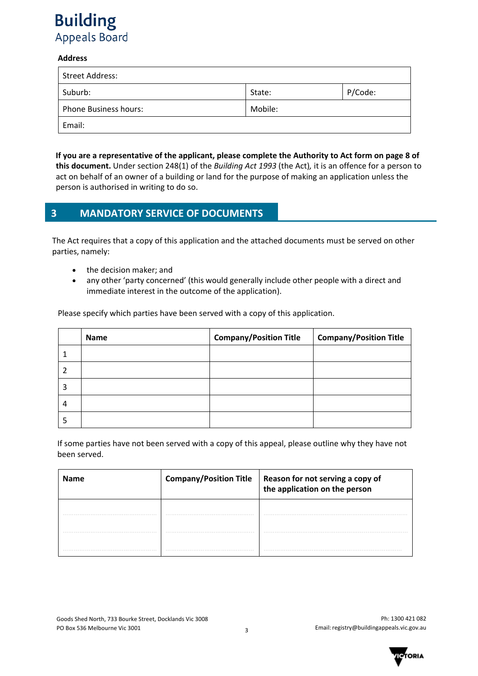#### **Address**

| Street Address:              |         |         |
|------------------------------|---------|---------|
| Suburb:                      | State:  | P/Code: |
| <b>Phone Business hours:</b> | Mobile: |         |
| Email:                       |         |         |

**If you are a representative of the applicant, please complete the Authority to Act form on page 8 of this document.** Under section 248(1) of the *Building Act 1993* (the Act)*,* it is an offence for a person to act on behalf of an owner of a building or land for the purpose of making an application unless the person is authorised in writing to do so.

# **3 MANDATORY SERVICE OF DOCUMENTS**

The Act requires that a copy of this application and the attached documents must be served on other parties, namely:

- the decision maker; and
- any other 'party concerned' (this would generally include other people with a direct and immediate interest in the outcome of the application).

Please specify which parties have been served with a copy of this application.

|   | <b>Name</b> | <b>Company/Position Title</b> | <b>Company/Position Title</b> |
|---|-------------|-------------------------------|-------------------------------|
|   |             |                               |                               |
|   |             |                               |                               |
| 3 |             |                               |                               |
| 4 |             |                               |                               |
|   |             |                               |                               |

If some parties have not been served with a copy of this appeal, please outline why they have not been served.

| <b>Name</b> | <b>Company/Position Title</b> | Reason for not serving a copy of<br>the application on the person |
|-------------|-------------------------------|-------------------------------------------------------------------|
|             |                               |                                                                   |
|             |                               |                                                                   |
|             |                               |                                                                   |

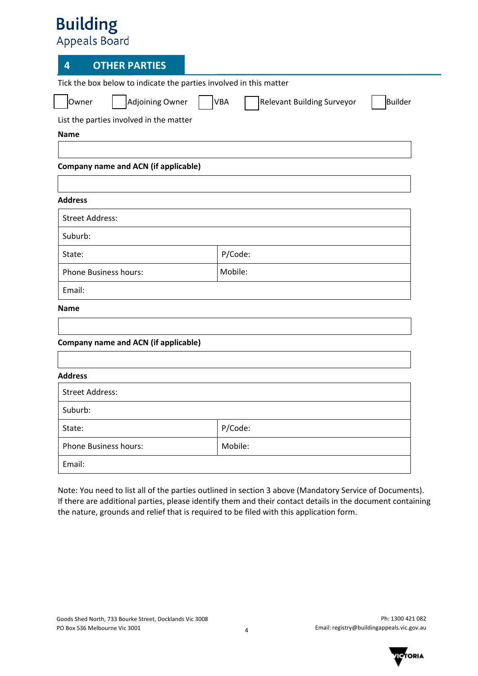# **4 OTHER PARTIES**

Tick the box below to indicate the parties involved in this matter

□ Owner □ Adjoining Owner □ VBA □Relevant Building Surveyor □Builder

List the parties involved in the matter

**Name**

**Company name and ACN (if applicable)**

### **Address**

| <b>Street Address:</b>       |         |
|------------------------------|---------|
| Suburb:                      |         |
| State:                       | P/Code: |
| <b>Phone Business hours:</b> | Mobile: |
| Email:                       |         |

### **Name**

| Company name and ACN (if applicable) |         |  |
|--------------------------------------|---------|--|
|                                      |         |  |
| <b>Address</b>                       |         |  |
| <b>Street Address:</b>               |         |  |
| Suburb:                              |         |  |
| State:                               | P/Code: |  |
| <b>Phone Business hours:</b>         | Mobile: |  |
| Email:                               |         |  |

Note: You need to list all of the parties outlined in section 3 above (Mandatory Service of Documents). If there are additional parties, please identify them and their contact details in the document containing the nature, grounds and relief that is required to be filed with this application form.

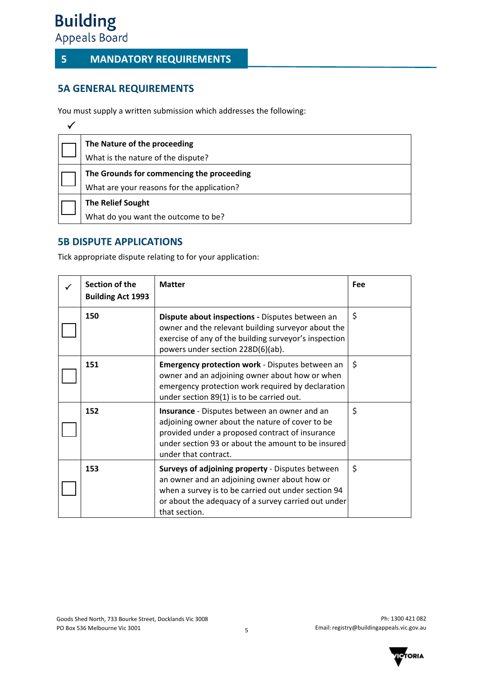# **5 MANDATORY REQUIREMENTS**

# **5A GENERAL REQUIREMENTS**

You must supply a written submission which addresses the following:

| The Nature of the proceeding               |
|--------------------------------------------|
| What is the nature of the dispute?         |
| The Grounds for commencing the proceeding  |
| What are your reasons for the application? |
| <b>The Relief Sought</b>                   |
| What do you want the outcome to be?        |

# **5B DISPUTE APPLICATIONS**

Tick appropriate dispute relating to for your application:

| Section of the<br><b>Building Act 1993</b> | <b>Matter</b>                                                                                                                                                                                                                    | Fee |
|--------------------------------------------|----------------------------------------------------------------------------------------------------------------------------------------------------------------------------------------------------------------------------------|-----|
| 150                                        | Dispute about inspections - Disputes between an<br>owner and the relevant building surveyor about the<br>exercise of any of the building surveyor's inspection<br>powers under section 228D(6)(ab).                              | \$  |
| 151                                        | <b>Emergency protection work</b> - Disputes between an<br>owner and an adjoining owner about how or when<br>emergency protection work required by declaration<br>under section 89(1) is to be carried out.                       | \$  |
| 152                                        | Insurance - Disputes between an owner and an<br>adjoining owner about the nature of cover to be<br>provided under a proposed contract of insurance<br>under section 93 or about the amount to be insured<br>under that contract. | \$  |
| 153                                        | Surveys of adjoining property - Disputes between<br>an owner and an adjoining owner about how or<br>when a survey is to be carried out under section 94<br>or about the adequacy of a survey carried out under<br>that section.  | \$  |

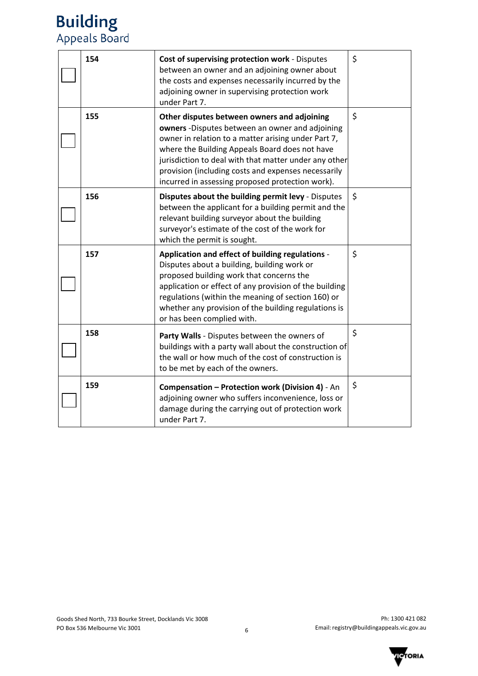| 154 | Cost of supervising protection work - Disputes<br>between an owner and an adjoining owner about<br>the costs and expenses necessarily incurred by the<br>adjoining owner in supervising protection work<br>under Part 7.                                                                                                                                                    | \$      |
|-----|-----------------------------------------------------------------------------------------------------------------------------------------------------------------------------------------------------------------------------------------------------------------------------------------------------------------------------------------------------------------------------|---------|
| 155 | Other disputes between owners and adjoining<br>owners -Disputes between an owner and adjoining<br>owner in relation to a matter arising under Part 7,<br>where the Building Appeals Board does not have<br>jurisdiction to deal with that matter under any other<br>provision (including costs and expenses necessarily<br>incurred in assessing proposed protection work). | \$      |
| 156 | Disputes about the building permit levy - Disputes<br>between the applicant for a building permit and the<br>relevant building surveyor about the building<br>surveyor's estimate of the cost of the work for<br>which the permit is sought.                                                                                                                                | $\zeta$ |
| 157 | Application and effect of building regulations -<br>Disputes about a building, building work or<br>proposed building work that concerns the<br>application or effect of any provision of the building<br>regulations (within the meaning of section 160) or<br>whether any provision of the building regulations is<br>or has been complied with.                           | \$      |
| 158 | Party Walls - Disputes between the owners of<br>buildings with a party wall about the construction of<br>the wall or how much of the cost of construction is<br>to be met by each of the owners.                                                                                                                                                                            | \$      |
| 159 | <b>Compensation - Protection work (Division 4) - An</b><br>adjoining owner who suffers inconvenience, loss or<br>damage during the carrying out of protection work<br>under Part 7.                                                                                                                                                                                         | \$      |

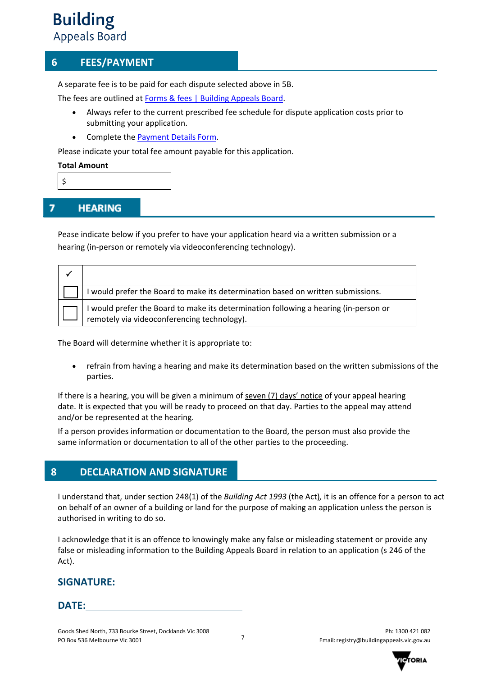# **6 FEES/PAYMENT**

A separate fee is to be paid for each dispute selected above in 5B.

The fees are outlined at [Forms & fees | Building Appeals Board.](https://www.buildingappeals.vic.gov.au/how-to-apply/forms-and-fees)

- Always refer to the current prescribed fee schedule for dispute application costs prior to submitting your application.
- Complete the [Payment Details Form.](https://www.buildingappeals.vic.gov.au/__data/assets/pdf_file/0010/48268/Payment-Form.pdf)

Please indicate your total fee amount payable for this application.

#### **Total Amount**

\$

#### 7 **HEARING**

Pease indicate below if you prefer to have your application heard via a written submission or a hearing (in-person or remotely via videoconferencing technology).

| would prefer the Board to make its determination based on written submissions.                                                    |
|-----------------------------------------------------------------------------------------------------------------------------------|
| would prefer the Board to make its determination following a hearing (in-person or<br>remotely via videoconferencing technology). |

The Board will determine whether it is appropriate to:

• refrain from having a hearing and make its determination based on the written submissions of the parties.

If there is a hearing, you will be given a minimum of seven (7) days' notice of your appeal hearing date. It is expected that you will be ready to proceed on that day. Parties to the appeal may attend and/or be represented at the hearing.

If a person provides information or documentation to the Board, the person must also provide the same information or documentation to all of the other parties to the proceeding.

## **8 DECLARATION AND SIGNATURE**

I understand that, under section 248(1) of the *Building Act 1993* (the Act)*,* it is an offence for a person to act on behalf of an owner of a building or land for the purpose of making an application unless the person is authorised in writing to do so.

I acknowledge that it is an offence to knowingly make any false or misleading statement or provide any false or misleading information to the Building Appeals Board in relation to an application (s 246 of the Act).

## **SIGNATURE:**

## **DATE:**

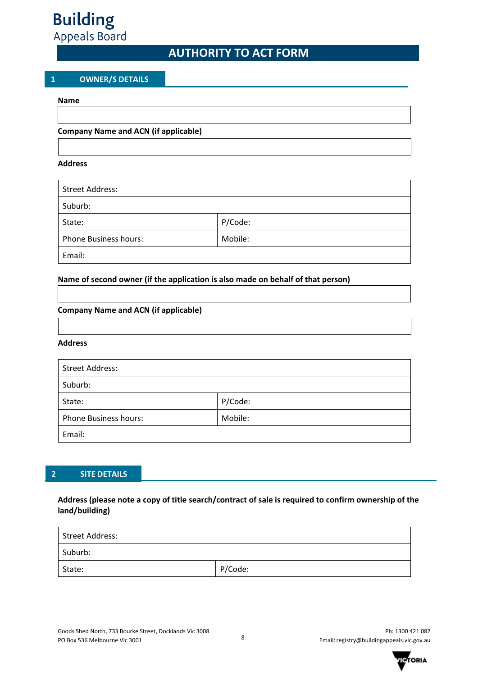# **AUTHORITY TO ACT FORM**

#### **1 OWNER/S DETAILS**

#### **Name**

#### **Company Name and ACN (if applicable)**

#### **Address**

| <b>Street Address:</b>       |         |
|------------------------------|---------|
| Suburb:                      |         |
| State:                       | P/Code: |
| <b>Phone Business hours:</b> | Mobile: |
| Email:                       |         |

#### **Name of second owner (if the application is also made on behalf of that person)**

#### **Company Name and ACN (if applicable)**

#### **Address**

| <b>Street Address:</b>       |         |
|------------------------------|---------|
| Suburb:                      |         |
| State:                       | P/Code: |
| <b>Phone Business hours:</b> | Mobile: |
| Email:                       |         |

#### **2 SITE DETAILS**

### **Address (please note a copy of title search/contract of sale is required to confirm ownership of the land/building)**

| Street Address: |         |  |  |
|-----------------|---------|--|--|
| Suburb:         |         |  |  |
| State:          | P/Code: |  |  |

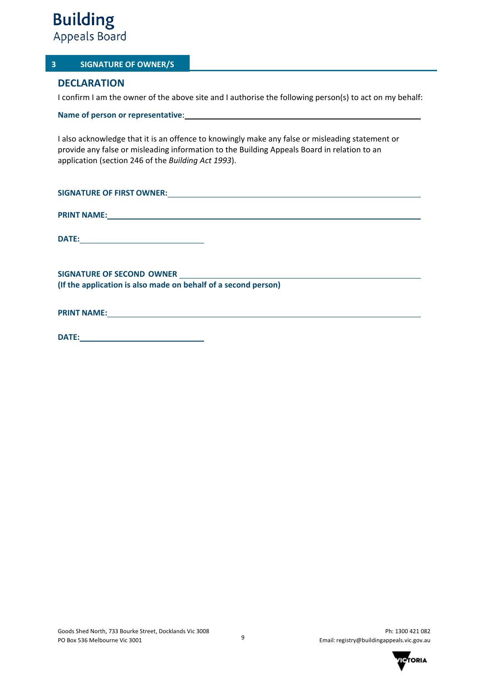## **3 SIGNATURE OF OWNER/S**

## **DECLARATION**

I confirm I am the owner of the above site and I authorise the following person(s) to act on my behalf:

**Name of person or representative**:

I also acknowledge that it is an offence to knowingly make any false or misleading statement or provide any false or misleading information to the Building Appeals Board in relation to an application (section 246 of the *Building Act 1993*).

| <b>SIGNATURE OF FIRST OWNER:</b>                                                                                                                                                                                                          |
|-------------------------------------------------------------------------------------------------------------------------------------------------------------------------------------------------------------------------------------------|
|                                                                                                                                                                                                                                           |
| <b>PRINT NAME:</b> <u>PRINT NAME: And the second of the second of the second of the second of the second of the second of the second of the second of the second of the second of the second of the second of the second of the secon</u> |
|                                                                                                                                                                                                                                           |
|                                                                                                                                                                                                                                           |
| (If the application is also made on behalf of a second person)                                                                                                                                                                            |
| PRINT NAME: University of the contract of the contract of the contract of the contract of the contract of the contract of the contract of the contract of the contract of the contract of the contract of the contract of the             |
|                                                                                                                                                                                                                                           |

| <b>DATE:</b> |  |
|--------------|--|
|              |  |